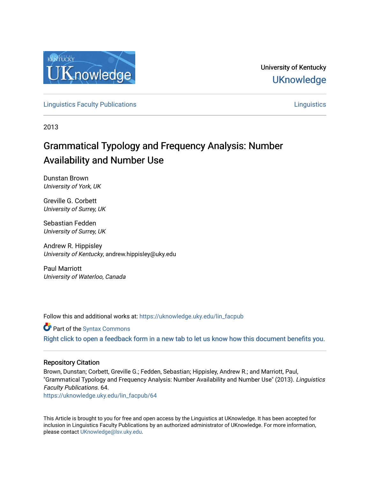

University of Kentucky **UKnowledge** 

**[Linguistics Faculty Publications](https://uknowledge.uky.edu/lin_facpub) [Linguistics](https://uknowledge.uky.edu/lin) Linguistics Linguistics** Linguistics Linguistics Linguistics Linguistics

2013

# Grammatical Typology and Frequency Analysis: Number Availability and Number Use

Dunstan Brown University of York, UK

Greville G. Corbett University of Surrey, UK

Sebastian Fedden University of Surrey, UK

Andrew R. Hippisley University of Kentucky, andrew.hippisley@uky.edu

Paul Marriott University of Waterloo, Canada

Follow this and additional works at: [https://uknowledge.uky.edu/lin\\_facpub](https://uknowledge.uky.edu/lin_facpub?utm_source=uknowledge.uky.edu%2Flin_facpub%2F64&utm_medium=PDF&utm_campaign=PDFCoverPages)

Part of the [Syntax Commons](http://network.bepress.com/hgg/discipline/384?utm_source=uknowledge.uky.edu%2Flin_facpub%2F64&utm_medium=PDF&utm_campaign=PDFCoverPages)  [Right click to open a feedback form in a new tab to let us know how this document benefits you.](https://uky.az1.qualtrics.com/jfe/form/SV_9mq8fx2GnONRfz7)

# Repository Citation

Brown, Dunstan; Corbett, Greville G.; Fedden, Sebastian; Hippisley, Andrew R.; and Marriott, Paul, "Grammatical Typology and Frequency Analysis: Number Availability and Number Use" (2013). Linguistics Faculty Publications. 64.

[https://uknowledge.uky.edu/lin\\_facpub/64](https://uknowledge.uky.edu/lin_facpub/64?utm_source=uknowledge.uky.edu%2Flin_facpub%2F64&utm_medium=PDF&utm_campaign=PDFCoverPages) 

This Article is brought to you for free and open access by the Linguistics at UKnowledge. It has been accepted for inclusion in Linguistics Faculty Publications by an authorized administrator of UKnowledge. For more information, please contact [UKnowledge@lsv.uky.edu.](mailto:UKnowledge@lsv.uky.edu)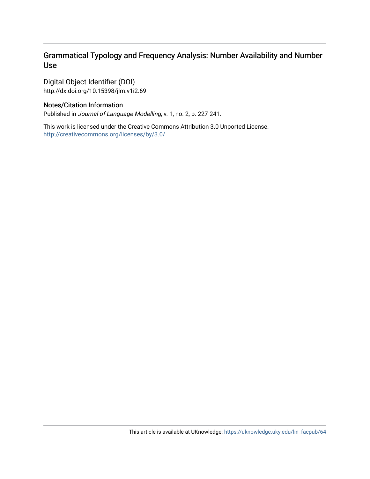# Grammatical Typology and Frequency Analysis: Number Availability and Number Use

Digital Object Identifier (DOI) http://dx.doi.org/10.15398/jlm.v1i2.69

# Notes/Citation Information

Published in Journal of Language Modelling, v. 1, no. 2, p. 227-241.

This work is licensed under the Creative Commons Attribution 3.0 Unported License. <http://creativecommons.org/licenses/by/3.0/>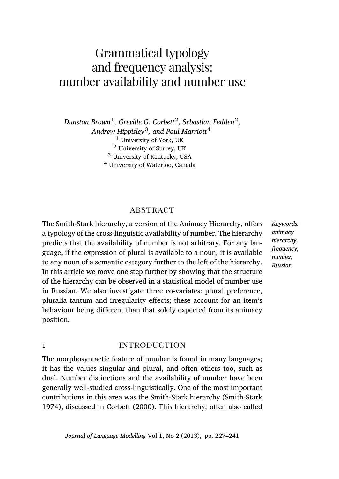# Grammatical typology and frequency analysis: number availability and number use

*Dunstan Brown*<sup>1</sup> *, Greville G. Corbett*<sup>2</sup> *, Sebastian Fedden*<sup>2</sup> *, Andrew Hippisley*<sup>3</sup> *, and Paul Marriott*<sup>4</sup> University of York, UK University of Surrey, UK University of Kentucky, USA University of Waterloo, Canada

# **ABSTRACT**

The Smith-Stark hierarchy, a version of the Animacy Hierarchy, offers a typology of the cross-linguistic availability of number. The hierarchy predicts that the availability of number is not arbitrary. For any language, if the expression of plural is available to a noun, it is available to any noun of a semantic category further to the left of the hierarchy. In this article we move one step further by showing that the structure of the hierarchy can be observed in a statistical model of number use in Russian. We also investigate three co-variates: plural preference, pluralia tantum and irregularity effects; these account for an item's behaviour being different than that solely expected from its animacy position.

*Keywords: animacy hierarchy, frequency, number, Russian*

### 1 **introduction**

The morphosyntactic feature of number is found in many languages; it has the values singular and plural, and often others too, such as dual. Number distinctions and the availability of number have been generally well-studied cross-linguistically. One of the most important contributions in this area was the Smith-Stark hierarchy([Smith-Stark](#page-16-0) [1974](#page-16-0)), discussed in [Corbett](#page-15-0) ([2000\)](#page-15-0). This hierarchy, often also called

*Journal of Language Modelling* Vol 1, No 2 (2013), pp. 227[–241](#page-14-0)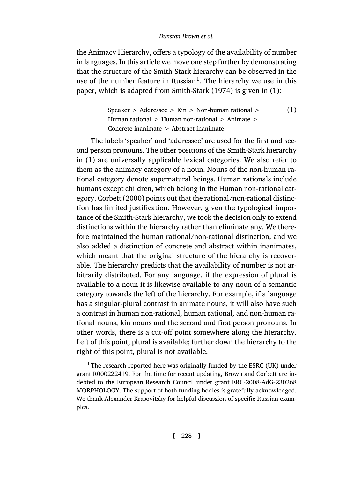the Animacy Hierarchy, offers a typology of the availability of number in languages. In this article we move one step further by demonstrating that the structure of the Smith-Stark hierarchy can be observed in the use of the number feature in Russian<sup>1</sup>. The hierarchy we use in this paper, which is adapted from [Smith-Stark](#page-16-0) ([1974](#page-16-0)) is given in([1\)](#page-3-0):

> <span id="page-3-0"></span>Speaker  $>$  Addressee  $>$  Kin  $>$  Non-human rational  $>$ Human rational  $>$  Human non-rational  $>$  Animate  $>$ Concrete inanimate > Abstract inanimate (1)

The labels 'speaker' and 'addressee' are used for the first and second person pronouns. The other positions of the Smith-Stark hierarchy in (1) are universally applicable lexical categories. We also refer to them as the animacy category of a noun. Nouns of the non-human rational category denote supernatural beings. Human rationals include humans except children, which belong in the Human non-rational category. [Corbett](#page-15-0) ([2000\)](#page-15-0) points out that the rational/non-rational distinction has limited justification. However, given the typological importance of the Smith-Stark hierarchy, we took the decision only to extend distinctions within the hierarchy rather than eliminate any. We therefore maintained the human rational/non-rational distinction, and we also added a distinction of concrete and abstract within inanimates, which meant that the original structure of the hierarchy is recoverable. The hierarchy predicts that the availability of number is not arbitrarily distributed. For any language, if the expression of plural is available to a noun it is likewise available to any noun of a semantic category towards the left of the hierarchy. For example, if a language has a singular-plural contrast in animate nouns, it will also have such a contrast in human non-rational, human rational, and non-human rational nouns, kin nouns and the second and first person pronouns. In other words, there is a cut-off point somewhere along the hierarchy. Left of this point, plural is available; further down the hierarchy to the right of this point, plural is not available.

 $1$  The research reported here was originally funded by the ESRC (UK) under grant R000222419. For the time for recent updating, Brown and Corbett are indebted to the European Research Council under grant ERC-2008-AdG-230268 MORPHOLOGY. The support of both funding bodies is gratefully acknowledged. We thank Alexander Krasovitsky for helpful discussion of specific Russian examples.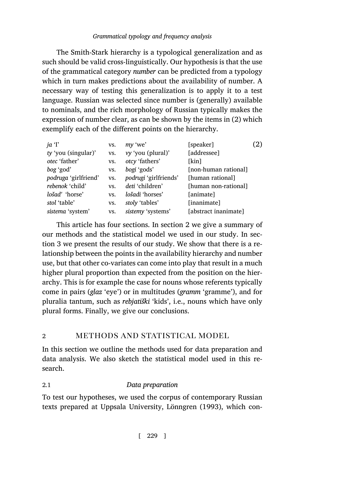# *Grammatical typology and frequency analysis*

The Smith-Stark hierarchy is a typological generalization and as such should be valid cross-linguistically. Our hypothesis is that the use of the grammatical category *number* can be predicted from a typology which in turn makes predictions about the availability of number. A necessary way of testing this generalization is to apply it to a test language. Russian was selected since number is (generally) available to nominals, and the rich morphology of Russian typically makes the expression of number clear, as can be shown by the items in (2) which exemplify each of the different points on the hierarchy.

| ja T                 | VS. | my 'we'               | [speaker]            | (2) |
|----------------------|-----|-----------------------|----------------------|-----|
| ty 'you (singular)'  | VS. | vy 'you (plural)'     | [addressee]          |     |
| otec 'father'        | VS. | otcy 'fathers'        | [kin]                |     |
| bog 'god'            | VS. | bogi 'gods'           | [non-human rational] |     |
| podruga 'girlfriend' | VS. | podrugi 'girlfriends' | [human rational]     |     |
| rebenok 'child'      | VS. | deti 'children'       | [human non-rational] |     |
| lošad' 'horse'       | VS. | lošadi 'horses'       | [animate]            |     |
| stol 'table'         | VS. | stoly 'tables'        | [inanimate]          |     |
| sistema 'system'     | VS. | sistemy 'systems'     | [abstract inanimate] |     |

This article has four sections. In section 2 we give a summary of our methods and the statistical model we used in our study. In section 3 we present the results of our study. We show that there is a relationship between the points in the availability hierarchy and number use, but that other co-variates can come into play that result in a much higher plural proportion than expected from the position on the hierarchy. This is for example the case for nouns whose referents typically come in pairs (*glaz* 'eye') or in multitudes (*gramm* 'gramme'), and for pluralia tantum, such as *rebjatiški* 'kids', i.e., nouns which have only plural forms. Finally, we give our conclusions.

# 2 METHODS AND STATISTICAL MODEL

In this section we outline the methods used for data preparation and data analysis. We also sketch the statistical model used in this research.

# 2.1 *Data preparation*

To test our hypotheses, we used the corpus of contemporary Russian texts prepared at Uppsala University, [Lönngren](#page-16-1) ([1993\)](#page-16-1), which con-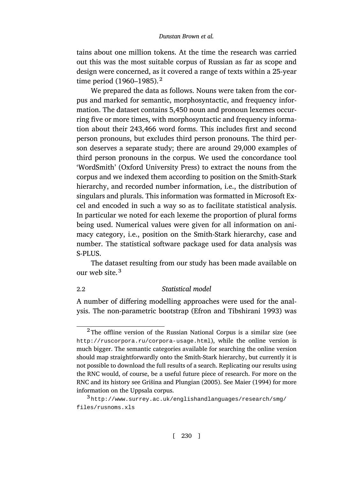tains about one million tokens. At the time the research was carried out this was the most suitable corpus of Russian as far as scope and design were concerned, as it covered a range of texts within a 25-year time period  $(1960-1985)$ .<sup>2</sup>

We prepared the data as follows. Nouns were taken from the corpus and marked for semantic, morphosyntactic, and frequency information. The dataset contains 5,450 noun and pronoun lexemes occurring five or more times, with morphosyntactic and frequency information about their 243,466 word forms. This includes first and second person pronouns, but excludes third person pronouns. The third person deserves a separate study; there are around 29,000 examples of third person pronouns in the corpus. We used the concordance tool 'WordSmith' (Oxford University Press) to extract the nouns from the corpus and we indexed them according to position on the Smith-Stark hierarchy, and recorded number information, i.e., the distribution of singulars and plurals. This information was formatted in Microsoft Excel and encoded in such a way so as to facilitate statistical analysis. In particular we noted for each lexeme the proportion of plural forms being used. Numerical values were given for all information on animacy category, i.e., position on the Smith-Stark hierarchy, case and number. The statistical software package used for data analysis was S-PLUS.

The dataset resulting from our study has been made available on our web site.<sup>3</sup>

#### 2.2 *Statistical model*

A number of differing modelling approaches were used for the analysis. The non-parametric bootstrap([Efron and Tibshirani](#page-15-1) [1993](#page-15-1)) was

 $2$ The offline version of the Russian National Corpus is a similar size (see <http://ruscorpora.ru/corpora-usage.html>), while the online version is much bigger. The semantic categories available for searching the online version should map straightforwardly onto the Smith-Stark hierarchy, but currently it is not possible to download the full results of a search. Replicating our results using the RNC would, of course, be a useful future piece of research. For more on the RNC and its history see [Gris̆ina and Plungian](#page-16-2) ([2005\)](#page-16-2). See [Maier](#page-16-3) [\(1994](#page-16-3)) for more information on the Uppsala corpus.

 $3$ [http://www.surrey.ac.uk/englishandlanguages/research/smg/](http://www.surrey.ac.uk/englishandlanguages/research/smg/files/rusnoms.xls) [files/rusnoms.xls](http://www.surrey.ac.uk/englishandlanguages/research/smg/files/rusnoms.xls)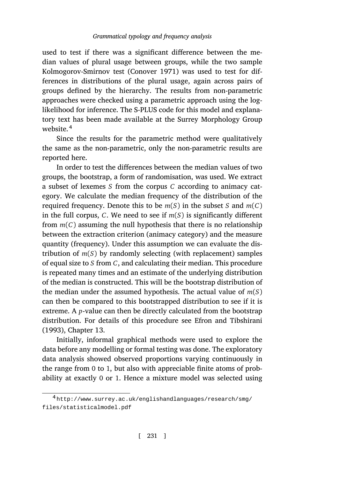used to test if there was a significant difference between the median values of plural usage between groups, while the two sample Kolmogorov-Smirnov test [\(Conover](#page-15-2) [1971\)](#page-15-2) was used to test for differences in distributions of the plural usage, again across pairs of groups defined by the hierarchy. The results from non-parametric approaches were checked using a parametric approach using the loglikelihood for inference. The S-PLUS code for this model and explanatory text has been made available at the Surrey Morphology Group website.<sup>4</sup>

Since the results for the parametric method were qualitatively the same as the non-parametric, only the non-parametric results are reported here.

In order to test the differences between the median values of two groups, the bootstrap, a form of randomisation, was used. We extract a subset of lexemes *S* from the corpus *C* according to animacy category. We calculate the median frequency of the distribution of the required frequency. Denote this to be  $m(S)$  in the subset *S* and  $m(C)$ in the full corpus, *C*. We need to see if *m*(*S*) is significantly different from  $m(C)$  assuming the null hypothesis that there is no relationship between the extraction criterion (animacy category) and the measure quantity (frequency). Under this assumption we can evaluate the distribution of  $m(S)$  by randomly selecting (with replacement) samples of equal size to *S* from *C*, and calculating their median. This procedure is repeated many times and an estimate of the underlying distribution of the median is constructed. This will be the bootstrap distribution of the median under the assumed hypothesis. The actual value of *m*(*S*) can then be compared to this bootstrapped distribution to see if it is extreme. A *p*-value can then be directly calculated from the bootstrap distribution. For details of this procedure see [Efron and Tibshirani](#page-15-1) ([1993\)](#page-15-1), Chapter 13.

Initially, informal graphical methods were used to explore the data before any modelling or formal testing was done. The exploratory data analysis showed observed proportions varying continuously in the range from 0 to 1, but also with appreciable finite atoms of probability at exactly 0 or 1. Hence a mixture model was selected using

<sup>4</sup> [http://www.surrey.ac.uk/englishandlanguages/research/smg/](http://www.surrey.ac.uk/englishandlanguages/research/smg/files/statisticalmodel.pdf) [files/statisticalmodel.pdf](http://www.surrey.ac.uk/englishandlanguages/research/smg/files/statisticalmodel.pdf)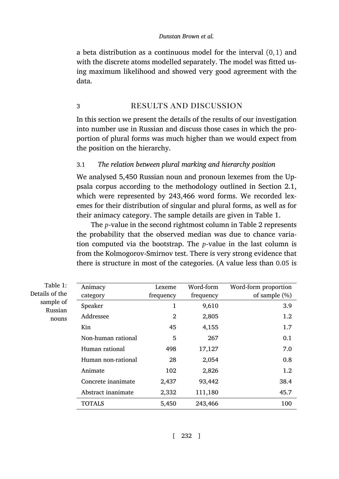a beta distribution as a continuous model for the interval (0, 1) and with the discrete atoms modelled separately. The model was fitted using maximum likelihood and showed very good agreement with the data.

# 3 RESULTS AND DISCUSSION

In this section we present the details of the results of our investigation into number use in Russian and discuss those cases in which the proportion of plural forms was much higher than we would expect from the position on the hierarchy.

### 3.1 *The relation between plural marking and hierarchy position*

We analysed 5,450 Russian noun and pronoun lexemes from the Uppsala corpus according to the methodology outlined in Section 2.1, which were represented by 243,466 word forms. We recorded lexemes for their distribution of singular and plural forms, as well as for their animacy category. The sample details are given in Table 1.

The *p*-value in the second rightmost column in Table 2 represents the probability that the observed median was due to chance variation computed via the bootstrap. The *p*-value in the last column is from the Kolmogorov-Smirnov test. There is very strong evidence that there is structure in most of the categories. (A value less than 0.05 is

| Table 1:             | Animacy            | Lexeme         | Word-form | Word-form proportion |
|----------------------|--------------------|----------------|-----------|----------------------|
| Details of the       | category           | frequency      | frequency | of sample $(\%)$     |
| sample of<br>Russian | Speaker            | 1              | 9,610     | 3.9                  |
| nouns                | Addressee          | $\overline{2}$ | 2,805     | 1.2                  |
|                      | Kin                | 45             | 4,155     | 1.7                  |
|                      | Non-human rational | 5              | 267       | 0.1                  |
|                      | Human rational     | 498            | 17,127    | 7.0                  |
|                      | Human non-rational | 28             | 2,054     | 0.8                  |
|                      | Animate            | 102            | 2,826     | 1.2                  |
|                      | Concrete inanimate | 2,437          | 93,442    | 38.4                 |
|                      | Abstract inanimate | 2,332          | 111,180   | 45.7                 |
|                      | <b>TOTALS</b>      | 5,450          | 243,466   | 100                  |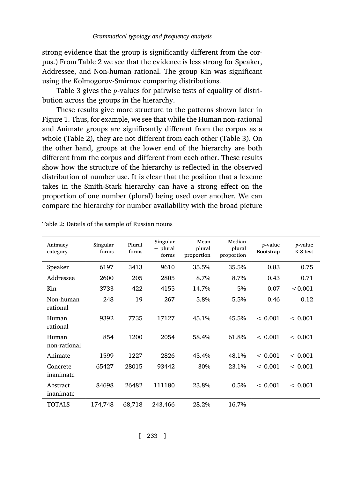strong evidence that the group is significantly different from the corpus.) From Table 2 we see that the evidence is less strong for Speaker, Addressee, and Non-human rational. The group Kin was significant using the Kolmogorov-Smirnov comparing distributions.

Table 3 gives the *p*-values for pairwise tests of equality of distribution across the groups in the hierarchy.

These results give more structure to the patterns shown later in Figure 1. Thus, for example, we see that while the Human non-rational and Animate groups are significantly different from the corpus as a whole (Table 2), they are not different from each other (Table 3). On the other hand, groups at the lower end of the hierarchy are both different from the corpus and different from each other. These results show how the structure of the hierarchy is reflected in the observed distribution of number use. It is clear that the position that a lexeme takes in the Smith-Stark hierarchy can have a strong effect on the proportion of one number (plural) being used over another. We can compare the hierarchy for number availability with the broad picture

| Animacy<br>category   | Singular<br>forms | Plural<br>forms | Singular<br>$+$ plural<br>forms | Mean<br>plural<br>proportion | Median<br>plural<br>proportion | $p$ -value<br>Bootstrap | <i>p</i> -value<br>K-S test |
|-----------------------|-------------------|-----------------|---------------------------------|------------------------------|--------------------------------|-------------------------|-----------------------------|
| Speaker               | 6197              | 3413            | 9610                            | 35.5%                        | 35.5%                          | 0.83                    | 0.75                        |
| Addressee             | 2600              | 205             | 2805                            | 8.7%                         | 8.7%                           | 0.43                    | 0.71                        |
| Kin                   | 3733              | 422             | 4155                            | 14.7%                        | 5%                             | 0.07                    | < 0.001                     |
| Non-human<br>rational | 248               | 19              | 267                             | 5.8%                         | 5.5%                           | 0.46                    | 0.12                        |
| Human<br>rational     | 9392              | 7735            | 17127                           | 45.1%                        | 45.5%                          | < 0.001                 | < 0.001                     |
| Human<br>non-rational | 854               | 1200            | 2054                            | 58.4%                        | 61.8%                          | < 0.001                 | < 0.001                     |
| Animate               | 1599              | 1227            | 2826                            | 43.4%                        | 48.1%                          | < 0.001                 | ${}< 0.001$                 |
| Concrete<br>inanimate | 65427             | 28015           | 93442                           | 30%                          | 23.1%                          | < 0.001                 | ${}< 0.001$                 |
| Abstract<br>inanimate | 84698             | 26482           | 111180                          | 23.8%                        | 0.5%                           | < 0.001                 | ${}< 0.001$                 |
| <b>TOTALS</b>         | 174,748           | 68,718          | 243,466                         | 28.2%                        | 16.7%                          |                         |                             |

Table 2: Details of the sample of Russian nouns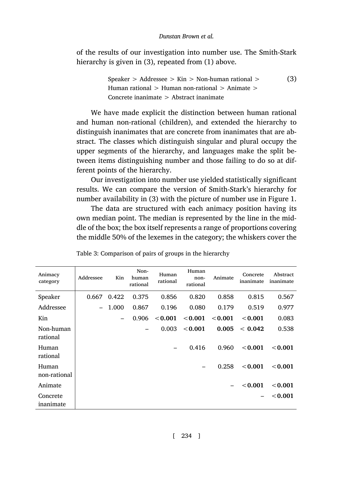of the results of our investigation into number use. The Smith-Stark hierarchy is given in (3), repeated from (1) above.

> Speaker > Addressee > Kin > Non-human rational > Human rational  $>$  Human non-rational  $>$  Animate  $>$ Concrete inanimate > Abstract inanimate (3)

We have made explicit the distinction between human rational and human non-rational (children), and extended the hierarchy to distinguish inanimates that are concrete from inanimates that are abstract. The classes which distinguish singular and plural occupy the upper segments of the hierarchy, and languages make the split between items distinguishing number and those failing to do so at different points of the hierarchy.

Our investigation into number use yielded statistically significant results. We can compare the version of Smith-Stark's hierarchy for number availability in (3) with the picture of number use in Figure [1.](#page-10-0)

The data are structured with each animacy position having its own median point. The median is represented by the line in the middle of the box; the box itself represents a range of proportions covering the middle 50% of the lexemes in the category; the whiskers cover the

| Animacy<br>category   | Addressee                | Kin   | Non-<br>human<br>rational | Human<br>rational | Human<br>non-<br>rational | Animate | Concrete<br>inanimate | Abstract<br>inanimate |
|-----------------------|--------------------------|-------|---------------------------|-------------------|---------------------------|---------|-----------------------|-----------------------|
| Speaker               | 0.667                    | 0.422 | 0.375                     | 0.856             | 0.820                     | 0.858   | 0.815                 | 0.567                 |
| Addressee             | $\overline{\phantom{0}}$ | 1.000 | 0.867                     | 0.196             | 0.080                     | 0.179   | 0.519                 | 0.977                 |
| Kin                   |                          | -     | 0.906                     | < 0.001           | < 0.001                   | < 0.001 | < 0.001               | 0.083                 |
| Non-human<br>rational |                          |       |                           | 0.003             | < 0.001                   | 0.005   | < 0.042               | 0.538                 |
| Human<br>rational     |                          |       |                           |                   | 0.416                     | 0.960   | < 0.001               | $<$ 0.001             |
| Human<br>non-rational |                          |       |                           |                   |                           | 0.258   | < 0.001               | < 0.001               |
| Animate               |                          |       |                           |                   |                           |         | < 0.001               | < 0.001               |
| Concrete<br>inanimate |                          |       |                           |                   |                           |         |                       | $<$ 0.001             |

Table 3: Comparison of pairs of groups in the hierarchy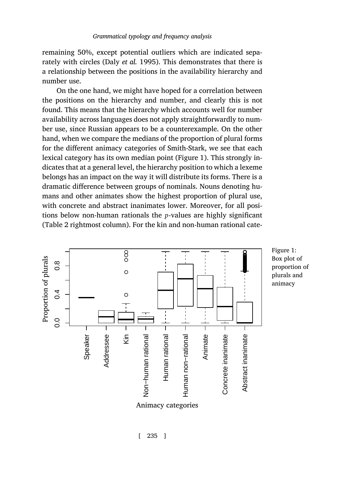remaining 50%, except potential outliers which are indicated separately with circles (Daly *[et al.](#page-15-3)* [1995\)](#page-15-3). This demonstrates that there is a relationship between the positions in the availability hierarchy and number use.

On the one hand, we might have hoped for a correlation between the positions on the hierarchy and number, and clearly this is not found. This means that the hierarchy which accounts well for number availability across languages does not apply straightforwardly to number use, since Russian appears to be a counterexample. On the other hand, when we compare the medians of the proportion of plural forms for the different animacy categories of Smith-Stark, we see that each lexical category has its own median point (Figure 1). This strongly indicates that at a general level, the hierarchy position to which a lexeme belongs has an impact on the way it will distribute its forms. There is a dramatic difference between groups of nominals. Nouns denoting humans and other animates show the highest proportion of plural use, with concrete and abstract inanimates lower. Moreover, for all positions below non-human rationals the *p*-values are highly significant (Table 2 rightmost column). For the kin and non-human rational cate-



<span id="page-10-0"></span>Figure 1: Box plot of proportion of plurals and animacy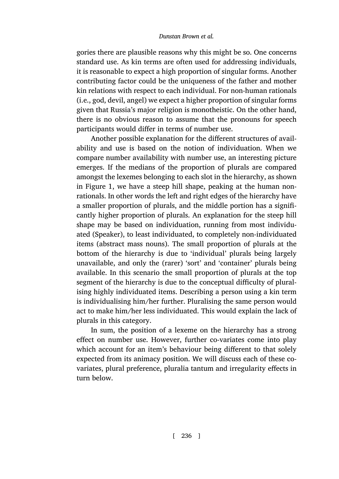gories there are plausible reasons why this might be so. One concerns standard use. As kin terms are often used for addressing individuals, it is reasonable to expect a high proportion of singular forms. Another contributing factor could be the uniqueness of the father and mother kin relations with respect to each individual. For non-human rationals (i.e., god, devil, angel) we expect a higher proportion of singular forms given that Russia's major religion is monotheistic. On the other hand, there is no obvious reason to assume that the pronouns for speech participants would differ in terms of number use.

Another possible explanation for the different structures of availability and use is based on the notion of individuation. When we compare number availability with number use, an interesting picture emerges. If the medians of the proportion of plurals are compared amongst the lexemes belonging to each slot in the hierarchy, as shown in Figure 1, we have a steep hill shape, peaking at the human nonrationals. In other words the left and right edges of the hierarchy have a smaller proportion of plurals, and the middle portion has a significantly higher proportion of plurals. An explanation for the steep hill shape may be based on individuation, running from most individuated (Speaker), to least individuated, to completely non-individuated items (abstract mass nouns). The small proportion of plurals at the bottom of the hierarchy is due to 'individual' plurals being largely unavailable, and only the (rarer) 'sort' and 'container' plurals being available. In this scenario the small proportion of plurals at the top segment of the hierarchy is due to the conceptual difficulty of pluralising highly individuated items. Describing a person using a kin term is individualising him/her further. Pluralising the same person would act to make him/her less individuated. This would explain the lack of plurals in this category.

In sum, the position of a lexeme on the hierarchy has a strong effect on number use. However, further co-variates come into play which account for an item's behaviour being different to that solely expected from its animacy position. We will discuss each of these covariates, plural preference, pluralia tantum and irregularity effects in turn below.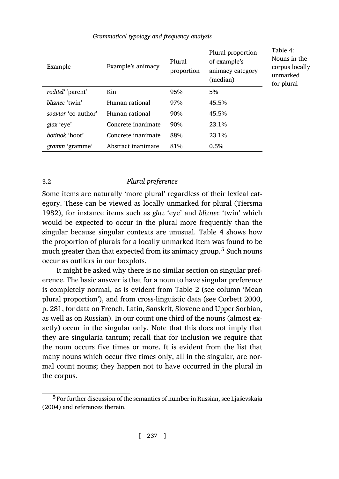Example Example's animacy Plural proportion Plural proportion of example's animacy category (median) *roditel'* 'parent' Kin 95% 5% *bliznec* 'twin' Human rational 97% 45.5% *soavtor* 'co-author' Human rational 90% 45.5% *glaz* 'eye' **Concrete inanimate** 90% 23.1% *botinok* 'boot' Concrete inanimate 88% 23.1% *gramm* 'gramme' Abstract inanimate 81% 0.5% Table 4: Nouns in the corpus locally unmarked for plural

### *Grammatical typology and frequency analysis*

# 3.2 *Plural preference*

Some items are naturally 'more plural' regardless of their lexical category. These can be viewed as locally unmarked for plural([Tiersma](#page-16-4) [1982](#page-16-4)), for instance items such as *glaz* 'eye' and *bliznec* 'twin' which would be expected to occur in the plural more frequently than the singular because singular contexts are unusual. Table 4 shows how the proportion of plurals for a locally unmarked item was found to be much greater than that expected from its animacy group.<sup>5</sup> Such nouns occur as outliers in our boxplots.

It might be asked why there is no similar section on singular preference. The basic answer is that for a noun to have singular preference is completely normal, as is evident from Table 2 (see column 'Mean plural proportion'), and from cross-linguistic data (see [Corbett](#page-15-0) [2000](#page-15-0), p. 281, for data on French, Latin, Sanskrit, Slovene and Upper Sorbian, as well as on Russian). In our count one third of the nouns (almost exactly) occur in the singular only. Note that this does not imply that they are singularia tantum; recall that for inclusion we require that the noun occurs five times or more. It is evident from the list that many nouns which occur five times only, all in the singular, are normal count nouns; they happen not to have occurred in the plural in the corpus.

<sup>&</sup>lt;sup>5</sup> For further discussion of the semantics of number in Russian, see Ljaševskaja [\(2004](#page-16-5)) and references therein.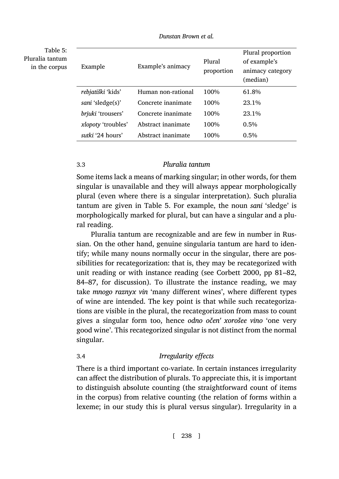| Table 5:<br>Pluralia tantum<br>in the corpus | Example                  | Example's animacy  | Plural<br>proportion | Plural proportion<br>of example's<br>animacy category<br>(median) |
|----------------------------------------------|--------------------------|--------------------|----------------------|-------------------------------------------------------------------|
|                                              | <i>rebjatiški 'kids'</i> | Human non-rational | 100%                 | 61.8%                                                             |
|                                              | sani 'sledge(s)'         | Concrete inanimate | 100%                 | 23.1%                                                             |
|                                              | brjuki 'trousers'        | Concrete inanimate | 100%                 | 23.1%                                                             |
|                                              | xlopoty 'troubles'       | Abstract inanimate | 100%                 | $0.5\%$                                                           |
|                                              | sutki '24 hours'         | Abstract inanimate | 100%                 | $0.5\%$                                                           |

*Dunstan Brown et al.*

#### 3.3 *Pluralia tantum*

Some items lack a means of marking singular; in other words, for them singular is unavailable and they will always appear morphologically plural (even where there is a singular interpretation). Such pluralia tantum are given in Table 5. For example, the noun *sani* 'sledge' is morphologically marked for plural, but can have a singular and a plural reading.

Pluralia tantum are recognizable and are few in number in Russian. On the other hand, genuine singularia tantum are hard to identify; while many nouns normally occur in the singular, there are possibilities for recategorization: that is, they may be recategorized with unit reading or with instance reading (see [Corbett](#page-15-0) [2000,](#page-15-0) pp 81–82, 84–87, for discussion). To illustrate the instance reading, we may take *mnogo raznyx vin* 'many different wines', where different types of wine are intended. The key point is that while such recategorizations are visible in the plural, the recategorization from mass to count gives a singular form too, hence *odno očen' xorošee vino* 'one very good wine'. This recategorized singular is not distinct from the normal singular.

# 3.4 *Irregularity effects*

There is a third important co-variate. In certain instances irregularity can affect the distribution of plurals. To appreciate this, it is important to distinguish absolute counting (the straightforward count of items in the corpus) from relative counting (the relation of forms within a lexeme; in our study this is plural versus singular). Irregularity in a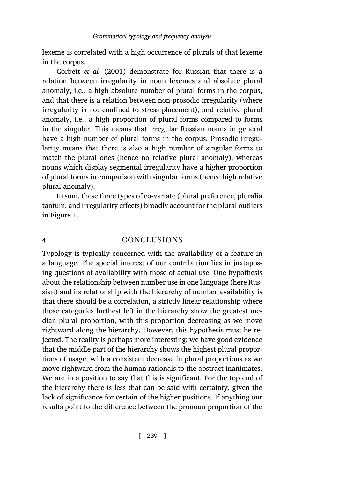lexeme is correlated with a high occurrence of plurals of that lexeme in the corpus.

[Corbett](#page-15-4) *et al.* [\(2001](#page-15-4)) demonstrate for Russian that there is a relation between irregularity in noun lexemes and absolute plural anomaly, i.e., a high absolute number of plural forms in the corpus, and that there is a relation between non-prosodic irregularity (where irregularity is not confined to stress placement), and relative plural anomaly, i.e., a high proportion of plural forms compared to forms in the singular. This means that irregular Russian nouns in general have a high number of plural forms in the corpus. Prosodic irregularity means that there is also a high number of singular forms to match the plural ones (hence no relative plural anomaly), whereas nouns which display segmental irregularity have a higher proportion of plural forms in comparison with singular forms (hence high relative plural anomaly).

In sum, these three types of co-variate (plural preference, pluralia tantum, and irregularity effects) broadly account for the plural outliers in Figure 1.

# <span id="page-14-0"></span>4 conclusions

Typology is typically concerned with the availability of a feature in a language. The special interest of our contribution lies in juxtaposing questions of availability with those of actual use. One hypothesis about the relationship between number use in one language (here Russian) and its relationship with the hierarchy of number availability is that there should be a correlation, a strictly linear relationship where those categories furthest left in the hierarchy show the greatest median plural proportion, with this proportion decreasing as we move rightward along the hierarchy. However, this hypothesis must be rejected. The reality is perhaps more interesting: we have good evidence that the middle part of the hierarchy shows the highest plural proportions of usage, with a consistent decrease in plural proportions as we move rightward from the human rationals to the abstract inanimates. We are in a position to say that this is significant. For the top end of the hierarchy there is less that can be said with certainty, given the lack of significance for certain of the higher positions. If anything our results point to the difference between the pronoun proportion of the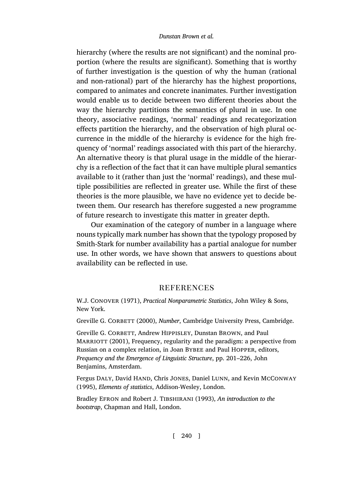hierarchy (where the results are not significant) and the nominal proportion (where the results are significant). Something that is worthy of further investigation is the question of why the human (rational and non-rational) part of the hierarchy has the highest proportions, compared to animates and concrete inanimates. Further investigation would enable us to decide between two different theories about the way the hierarchy partitions the semantics of plural in use. In one theory, associative readings, 'normal' readings and recategorization effects partition the hierarchy, and the observation of high plural occurrence in the middle of the hierarchy is evidence for the high frequency of 'normal' readings associated with this part of the hierarchy. An alternative theory is that plural usage in the middle of the hierarchy is a reflection of the fact that it can have multiple plural semantics available to it (rather than just the 'normal' readings), and these multiple possibilities are reflected in greater use. While the first of these theories is the more plausible, we have no evidence yet to decide between them. Our research has therefore suggested a new programme of future research to investigate this matter in greater depth.

Our examination of the category of number in a language where nouns typically mark number has shown that the typology proposed by Smith-Stark for number availability has a partial analogue for number use. In other words, we have shown that answers to questions about availability can be reflected in use.

#### **REFERENCES**

<span id="page-15-2"></span>W.J. Conover (1971), *Practical Nonparametric Statistics*, John Wiley & Sons, New York.

<span id="page-15-0"></span>Greville G. CORBETT (2000), *Number*, Cambridge University Press, Cambridge.

<span id="page-15-4"></span>Greville G. CORBETT, Andrew HIPPISLEY, Dunstan BROWN, and Paul MARRIOTT (2001), Frequency, regularity and the paradigm: a perspective from Russian on a complex relation, in Joan Bybee and Paul Hopper, editors, *Frequency and the Emergence of Linguistic Structure*, pp. 201–226, John Benjamins, Amsterdam.

<span id="page-15-3"></span>Fergus DALY, David HAND, Chris JONES, Daniel LUNN, and Kevin MCCONWAY (1995), *Elements of statistics*, Addison-Wesley, London.

<span id="page-15-1"></span>Bradley Efron and Robert J. Tibshirani (1993), *An introduction to the bootstrap*, Chapman and Hall, London.